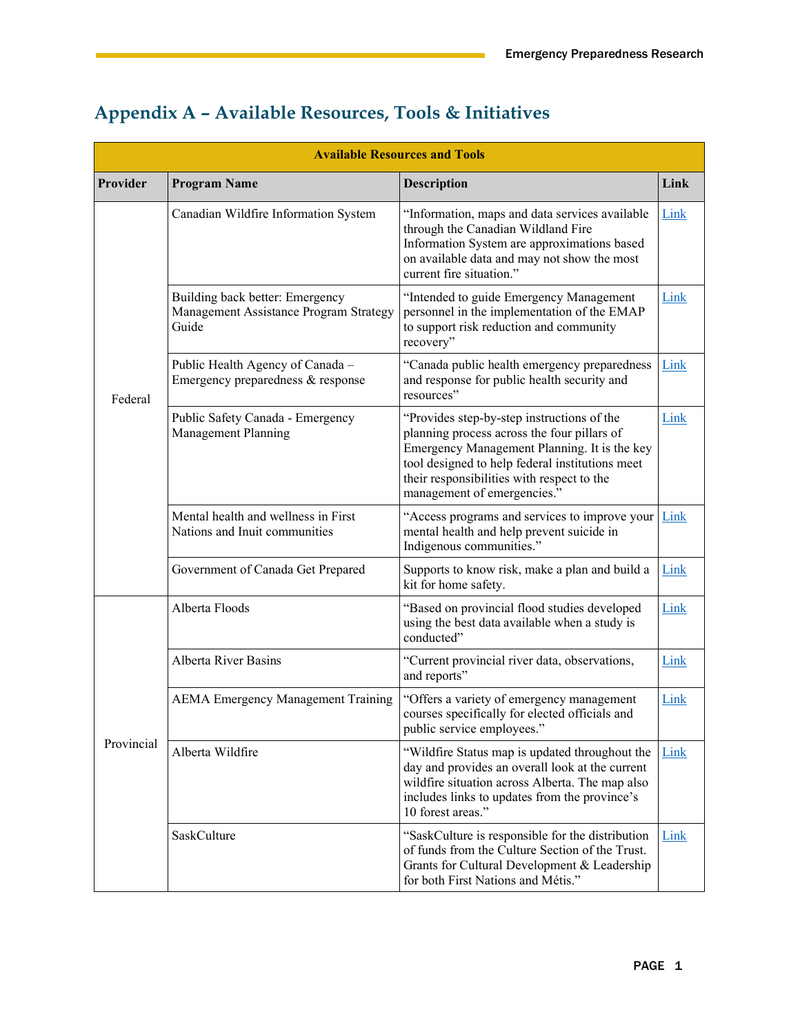| <b>Available Resources and Tools</b> |                                                                                    |                                                                                                                                                                                                                                                                           |      |
|--------------------------------------|------------------------------------------------------------------------------------|---------------------------------------------------------------------------------------------------------------------------------------------------------------------------------------------------------------------------------------------------------------------------|------|
| Provider                             | <b>Program Name</b>                                                                | <b>Description</b>                                                                                                                                                                                                                                                        | Link |
| Federal                              | Canadian Wildfire Information System                                               | 'Information, maps and data services available<br>through the Canadian Wildland Fire<br>Information System are approximations based<br>on available data and may not show the most<br>current fire situation."                                                            | Link |
|                                      | Building back better: Emergency<br>Management Assistance Program Strategy<br>Guide | "Intended to guide Emergency Management<br>personnel in the implementation of the EMAP<br>to support risk reduction and community<br>recovery"                                                                                                                            | Link |
|                                      | Public Health Agency of Canada -<br>Emergency preparedness & response              | "Canada public health emergency preparedness<br>and response for public health security and<br>resources"                                                                                                                                                                 | Link |
|                                      | Public Safety Canada - Emergency<br>Management Planning                            | "Provides step-by-step instructions of the<br>planning process across the four pillars of<br>Emergency Management Planning. It is the key<br>tool designed to help federal institutions meet<br>their responsibilities with respect to the<br>management of emergencies." | Link |
|                                      | Mental health and wellness in First<br>Nations and Inuit communities               | "Access programs and services to improve your<br>mental health and help prevent suicide in<br>Indigenous communities."                                                                                                                                                    | Link |
|                                      | Government of Canada Get Prepared                                                  | Supports to know risk, make a plan and build a<br>kit for home safety.                                                                                                                                                                                                    | Link |
| Provincial                           | Alberta Floods                                                                     | "Based on provincial flood studies developed<br>using the best data available when a study is<br>conducted"                                                                                                                                                               | Link |
|                                      | <b>Alberta River Basins</b>                                                        | "Current provincial river data, observations,<br>and reports"                                                                                                                                                                                                             | Link |
|                                      | <b>AEMA Emergency Management Training</b>                                          | "Offers a variety of emergency management<br>courses specifically for elected officials and<br>public service employees."                                                                                                                                                 | Link |
|                                      | Alberta Wildfire                                                                   | "Wildfire Status map is updated throughout the<br>day and provides an overall look at the current<br>wildfire situation across Alberta. The map also<br>includes links to updates from the province's<br>10 forest areas."                                                | Link |
|                                      | SaskCulture                                                                        | "SaskCulture is responsible for the distribution<br>of funds from the Culture Section of the Trust.<br>Grants for Cultural Development & Leadership<br>for both First Nations and Métis."                                                                                 | Link |

## **Appendix A – Available Resources, Tools & Initiatives**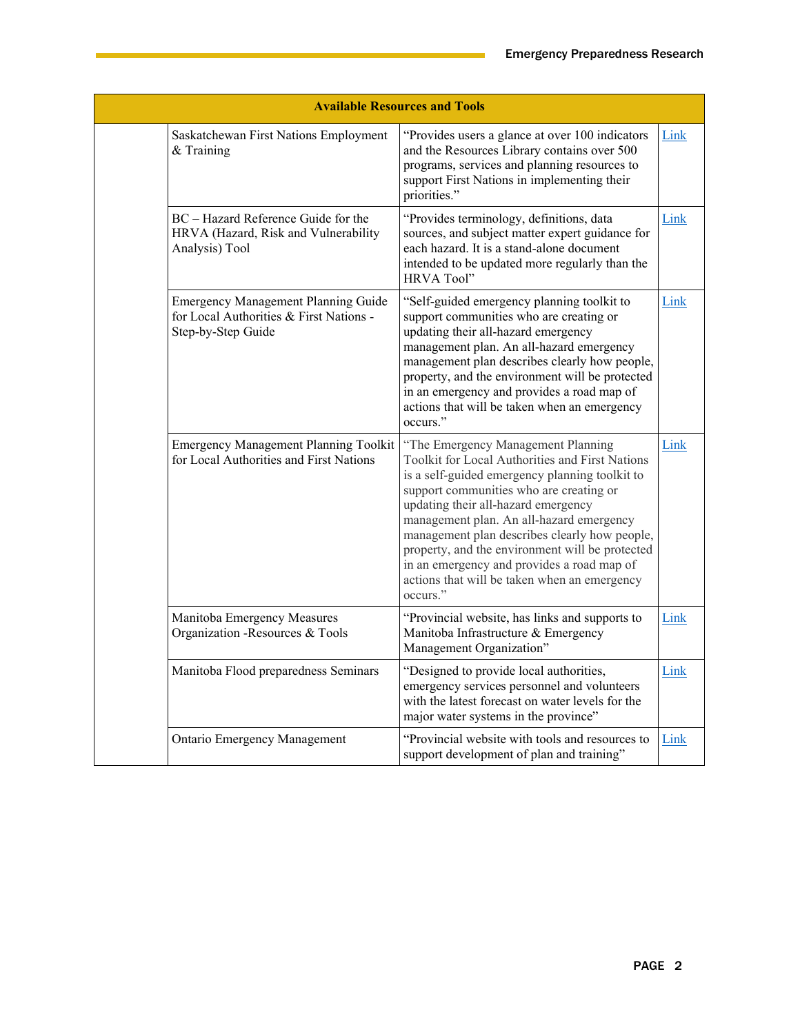| <b>Available Resources and Tools</b>                                                                        |                                                                                                                                                                                                                                                                                                                                                                                                                                                                                     |      |  |
|-------------------------------------------------------------------------------------------------------------|-------------------------------------------------------------------------------------------------------------------------------------------------------------------------------------------------------------------------------------------------------------------------------------------------------------------------------------------------------------------------------------------------------------------------------------------------------------------------------------|------|--|
| Saskatchewan First Nations Employment<br>& Training                                                         | "Provides users a glance at over 100 indicators<br>and the Resources Library contains over 500<br>programs, services and planning resources to<br>support First Nations in implementing their<br>priorities."                                                                                                                                                                                                                                                                       | Link |  |
| BC - Hazard Reference Guide for the<br>HRVA (Hazard, Risk and Vulnerability<br>Analysis) Tool               | "Provides terminology, definitions, data<br>sources, and subject matter expert guidance for<br>each hazard. It is a stand-alone document<br>intended to be updated more regularly than the<br>HRVA Tool"                                                                                                                                                                                                                                                                            | Link |  |
| <b>Emergency Management Planning Guide</b><br>for Local Authorities & First Nations -<br>Step-by-Step Guide | "Self-guided emergency planning toolkit to<br>support communities who are creating or<br>updating their all-hazard emergency<br>management plan. An all-hazard emergency<br>management plan describes clearly how people,<br>property, and the environment will be protected<br>in an emergency and provides a road map of<br>actions that will be taken when an emergency<br>occurs."                                                                                              | Link |  |
| <b>Emergency Management Planning Toolkit</b><br>for Local Authorities and First Nations                     | "The Emergency Management Planning<br>Toolkit for Local Authorities and First Nations<br>is a self-guided emergency planning toolkit to<br>support communities who are creating or<br>updating their all-hazard emergency<br>management plan. An all-hazard emergency<br>management plan describes clearly how people,<br>property, and the environment will be protected<br>in an emergency and provides a road map of<br>actions that will be taken when an emergency<br>occurs." | Link |  |
| Manitoba Emergency Measures<br>Organization -Resources & Tools                                              | "Provincial website, has links and supports to<br>Manitoba Infrastructure & Emergency<br>Management Organization"                                                                                                                                                                                                                                                                                                                                                                   | Link |  |
| Manitoba Flood preparedness Seminars                                                                        | "Designed to provide local authorities,<br>emergency services personnel and volunteers<br>with the latest forecast on water levels for the<br>major water systems in the province"                                                                                                                                                                                                                                                                                                  | Link |  |
| <b>Ontario Emergency Management</b>                                                                         | "Provincial website with tools and resources to<br>support development of plan and training"                                                                                                                                                                                                                                                                                                                                                                                        | Link |  |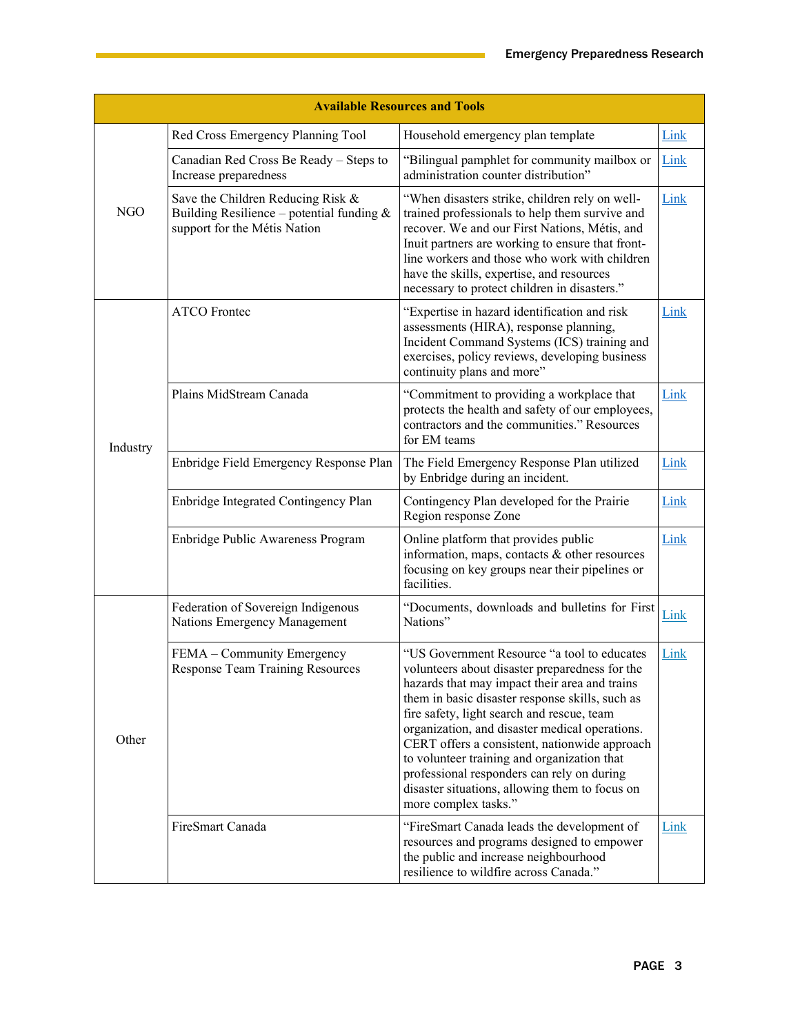| <b>Available Resources and Tools</b> |                                                                                                                  |                                                                                                                                                                                                                                                                                                                                                                                                                                                                                                                           |      |
|--------------------------------------|------------------------------------------------------------------------------------------------------------------|---------------------------------------------------------------------------------------------------------------------------------------------------------------------------------------------------------------------------------------------------------------------------------------------------------------------------------------------------------------------------------------------------------------------------------------------------------------------------------------------------------------------------|------|
| <b>NGO</b>                           | Red Cross Emergency Planning Tool                                                                                | Household emergency plan template                                                                                                                                                                                                                                                                                                                                                                                                                                                                                         | Link |
|                                      | Canadian Red Cross Be Ready - Steps to<br>Increase preparedness                                                  | "Bilingual pamphlet for community mailbox or<br>administration counter distribution"                                                                                                                                                                                                                                                                                                                                                                                                                                      | Link |
|                                      | Save the Children Reducing Risk &<br>Building Resilience – potential funding $&$<br>support for the Métis Nation | "When disasters strike, children rely on well-<br>trained professionals to help them survive and<br>recover. We and our First Nations, Métis, and<br>Inuit partners are working to ensure that front-<br>line workers and those who work with children<br>have the skills, expertise, and resources<br>necessary to protect children in disasters."                                                                                                                                                                       | Link |
| Industry                             | <b>ATCO</b> Frontec                                                                                              | "Expertise in hazard identification and risk<br>assessments (HIRA), response planning,<br>Incident Command Systems (ICS) training and<br>exercises, policy reviews, developing business<br>continuity plans and more"                                                                                                                                                                                                                                                                                                     | Link |
|                                      | Plains MidStream Canada                                                                                          | "Commitment to providing a workplace that<br>protects the health and safety of our employees,<br>contractors and the communities." Resources<br>for EM teams                                                                                                                                                                                                                                                                                                                                                              | Link |
|                                      | Enbridge Field Emergency Response Plan                                                                           | The Field Emergency Response Plan utilized<br>by Enbridge during an incident.                                                                                                                                                                                                                                                                                                                                                                                                                                             | Link |
|                                      | Enbridge Integrated Contingency Plan                                                                             | Contingency Plan developed for the Prairie<br>Region response Zone                                                                                                                                                                                                                                                                                                                                                                                                                                                        | Link |
|                                      | Enbridge Public Awareness Program                                                                                | Online platform that provides public<br>information, maps, contacts & other resources<br>focusing on key groups near their pipelines or<br>facilities.                                                                                                                                                                                                                                                                                                                                                                    | Link |
| Other                                | Federation of Sovereign Indigenous<br>Nations Emergency Management                                               | "Documents, downloads and bulletins for First<br>Nations"                                                                                                                                                                                                                                                                                                                                                                                                                                                                 | Link |
|                                      | FEMA - Community Emergency<br><b>Response Team Training Resources</b>                                            | "US Government Resource "a tool to educates<br>volunteers about disaster preparedness for the<br>hazards that may impact their area and trains<br>them in basic disaster response skills, such as<br>fire safety, light search and rescue, team<br>organization, and disaster medical operations.<br>CERT offers a consistent, nationwide approach<br>to volunteer training and organization that<br>professional responders can rely on during<br>disaster situations, allowing them to focus on<br>more complex tasks." | Link |
|                                      | FireSmart Canada                                                                                                 | "FireSmart Canada leads the development of<br>resources and programs designed to empower<br>the public and increase neighbourhood<br>resilience to wildfire across Canada."                                                                                                                                                                                                                                                                                                                                               | Link |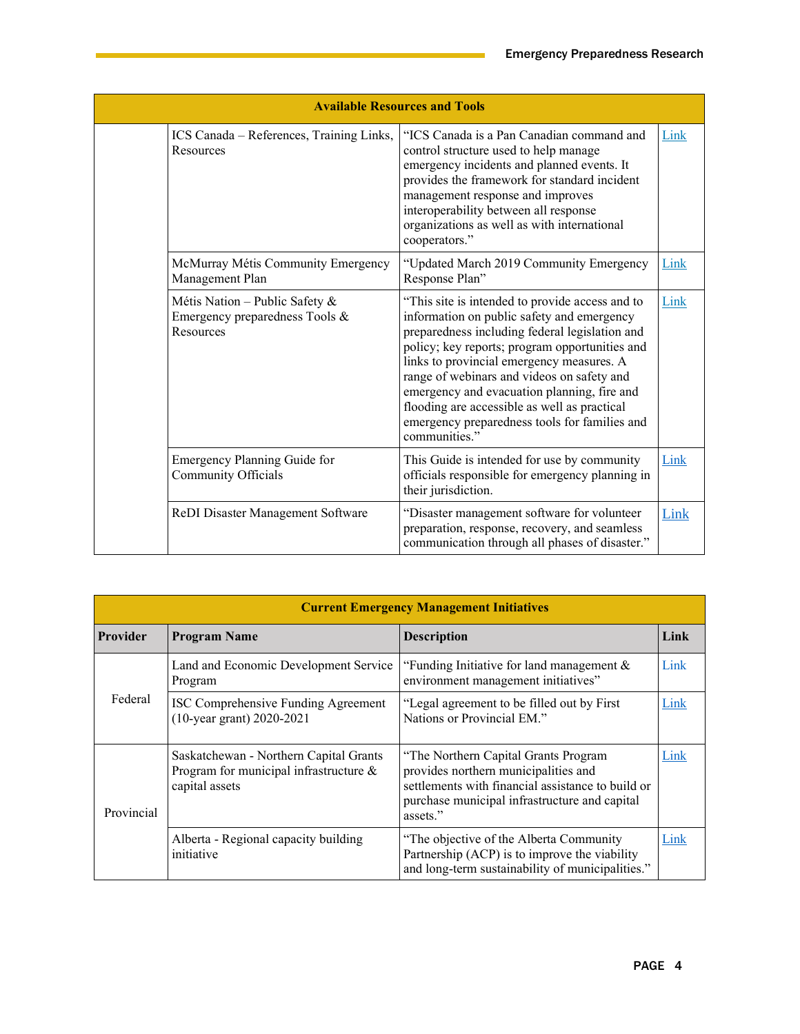| <b>Available Resources and Tools</b> |                                                                               |                                                                                                                                                                                                                                                                                                                                                                                                                                                               |      |
|--------------------------------------|-------------------------------------------------------------------------------|---------------------------------------------------------------------------------------------------------------------------------------------------------------------------------------------------------------------------------------------------------------------------------------------------------------------------------------------------------------------------------------------------------------------------------------------------------------|------|
|                                      | ICS Canada - References, Training Links,<br>Resources                         | "ICS Canada is a Pan Canadian command and<br>control structure used to help manage<br>emergency incidents and planned events. It<br>provides the framework for standard incident<br>management response and improves<br>interoperability between all response<br>organizations as well as with international<br>cooperators."                                                                                                                                 | Link |
|                                      | McMurray Métis Community Emergency<br>Management Plan                         | "Updated March 2019 Community Emergency<br>Response Plan"                                                                                                                                                                                                                                                                                                                                                                                                     | Link |
|                                      | Métis Nation - Public Safety &<br>Emergency preparedness Tools &<br>Resources | "This site is intended to provide access and to<br>information on public safety and emergency<br>preparedness including federal legislation and<br>policy; key reports; program opportunities and<br>links to provincial emergency measures. A<br>range of webinars and videos on safety and<br>emergency and evacuation planning, fire and<br>flooding are accessible as well as practical<br>emergency preparedness tools for families and<br>communities." | Link |
|                                      | Emergency Planning Guide for<br>Community Officials                           | This Guide is intended for use by community<br>officials responsible for emergency planning in<br>their jurisdiction.                                                                                                                                                                                                                                                                                                                                         | Link |
|                                      | ReDI Disaster Management Software                                             | "Disaster management software for volunteer<br>preparation, response, recovery, and seamless<br>communication through all phases of disaster."                                                                                                                                                                                                                                                                                                                | Link |

| <b>Provider</b> | <b>Program Name</b>                                                                                | <b>Description</b>                                                                                                                                                                             | Link |
|-----------------|----------------------------------------------------------------------------------------------------|------------------------------------------------------------------------------------------------------------------------------------------------------------------------------------------------|------|
| Federal         | Land and Economic Development Service<br>Program                                                   | "Funding Initiative for land management $\&$<br>environment management initiatives"                                                                                                            | Link |
|                 | ISC Comprehensive Funding Agreement<br>(10-year grant) 2020-2021                                   | "Legal agreement to be filled out by First<br>Nations or Provincial EM."                                                                                                                       | Link |
| Provincial      | Saskatchewan - Northern Capital Grants<br>Program for municipal infrastructure &<br>capital assets | "The Northern Capital Grants Program<br>provides northern municipalities and<br>settlements with financial assistance to build or<br>purchase municipal infrastructure and capital<br>assets." | Link |
|                 | Alberta - Regional capacity building<br>initiative                                                 | "The objective of the Alberta Community<br>Partnership (ACP) is to improve the viability<br>and long-term sustainability of municipalities."                                                   | Link |